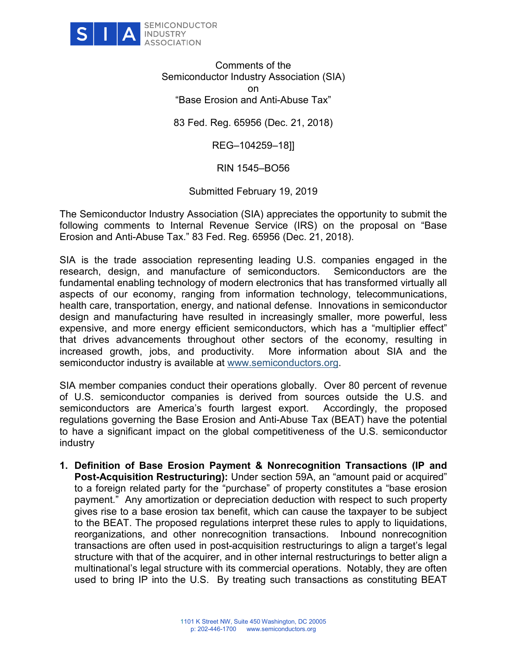

Comments of the Semiconductor Industry Association (SIA) on "Base Erosion and Anti-Abuse Tax"

83 Fed. Reg. 65956 (Dec. 21, 2018)

REG–104259–18]]

RIN 1545–BO56

Submitted February 19, 2019

The Semiconductor Industry Association (SIA) appreciates the opportunity to submit the following comments to Internal Revenue Service (IRS) on the proposal on "Base Erosion and Anti-Abuse Tax." 83 Fed. Reg. 65956 (Dec. 21, 2018).

SIA is the trade association representing leading U.S. companies engaged in the research, design, and manufacture of semiconductors. Semiconductors are the fundamental enabling technology of modern electronics that has transformed virtually all aspects of our economy, ranging from information technology, telecommunications, health care, transportation, energy, and national defense. Innovations in semiconductor design and manufacturing have resulted in increasingly smaller, more powerful, less expensive, and more energy efficient semiconductors, which has a "multiplier effect" that drives advancements throughout other sectors of the economy, resulting in increased growth, jobs, and productivity. More information about SIA and the semiconductor industry is available at [www.semiconductors.org.](http://www.semiconductors.org/)

SIA member companies conduct their operations globally. Over 80 percent of revenue of U.S. semiconductor companies is derived from sources outside the U.S. and semiconductors are America's fourth largest export. Accordingly, the proposed regulations governing the Base Erosion and Anti-Abuse Tax (BEAT) have the potential to have a significant impact on the global competitiveness of the U.S. semiconductor industry

**1. Definition of Base Erosion Payment & Nonrecognition Transactions (IP and Post-Acquisition Restructuring):** Under section 59A, an "amount paid or acquired" to a foreign related party for the "purchase" of property constitutes a "base erosion payment." Any amortization or depreciation deduction with respect to such property gives rise to a base erosion tax benefit, which can cause the taxpayer to be subject to the BEAT. The proposed regulations interpret these rules to apply to liquidations, reorganizations, and other nonrecognition transactions. Inbound nonrecognition transactions are often used in post-acquisition restructurings to align a target's legal structure with that of the acquirer, and in other internal restructurings to better align a multinational's legal structure with its commercial operations. Notably, they are often used to bring IP into the U.S. By treating such transactions as constituting BEAT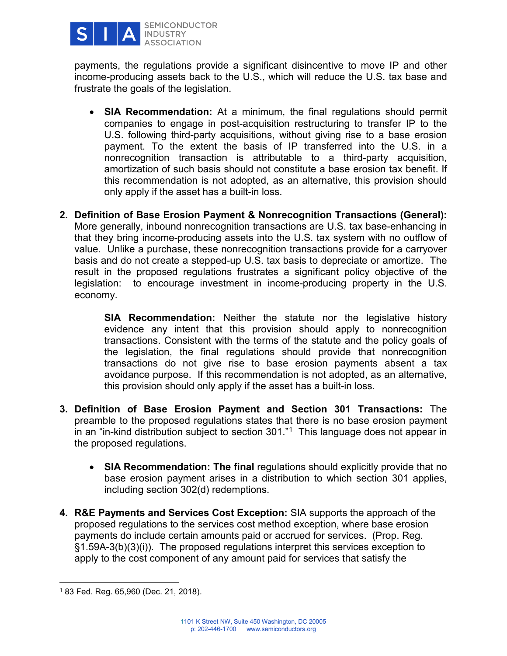

payments, the regulations provide a significant disincentive to move IP and other income-producing assets back to the U.S., which will reduce the U.S. tax base and frustrate the goals of the legislation.

- **SIA Recommendation:** At a minimum, the final regulations should permit companies to engage in post-acquisition restructuring to transfer IP to the U.S. following third-party acquisitions, without giving rise to a base erosion payment. To the extent the basis of IP transferred into the U.S. in a nonrecognition transaction is attributable to a third-party acquisition, amortization of such basis should not constitute a base erosion tax benefit. If this recommendation is not adopted, as an alternative, this provision should only apply if the asset has a built-in loss.
- **2. Definition of Base Erosion Payment & Nonrecognition Transactions (General):**  More generally, inbound nonrecognition transactions are U.S. tax base-enhancing in that they bring income-producing assets into the U.S. tax system with no outflow of value. Unlike a purchase, these nonrecognition transactions provide for a carryover basis and do not create a stepped-up U.S. tax basis to depreciate or amortize. The result in the proposed regulations frustrates a significant policy objective of the legislation: to encourage investment in income-producing property in the U.S. economy.

**SIA Recommendation:** Neither the statute nor the legislative history evidence any intent that this provision should apply to nonrecognition transactions. Consistent with the terms of the statute and the policy goals of the legislation, the final regulations should provide that nonrecognition transactions do not give rise to base erosion payments absent a tax avoidance purpose. If this recommendation is not adopted, as an alternative, this provision should only apply if the asset has a built-in loss.

- **3. Definition of Base Erosion Payment and Section 301 Transactions:** The preamble to the proposed regulations states that there is no base erosion payment in an "in-kind distribution subject to section 301."[1](#page-1-0) This language does not appear in the proposed regulations.
	- **SIA Recommendation: The final** regulations should explicitly provide that no base erosion payment arises in a distribution to which section 301 applies, including section 302(d) redemptions.
- **4. R&E Payments and Services Cost Exception:** SIA supports the approach of the proposed regulations to the services cost method exception, where base erosion payments do include certain amounts paid or accrued for services. (Prop. Reg. §1.59A-3(b)(3)(i)). The proposed regulations interpret this services exception to apply to the cost component of any amount paid for services that satisfy the

<span id="page-1-0"></span><sup>1</sup> 83 Fed. Reg. 65,960 (Dec. 21, 2018).